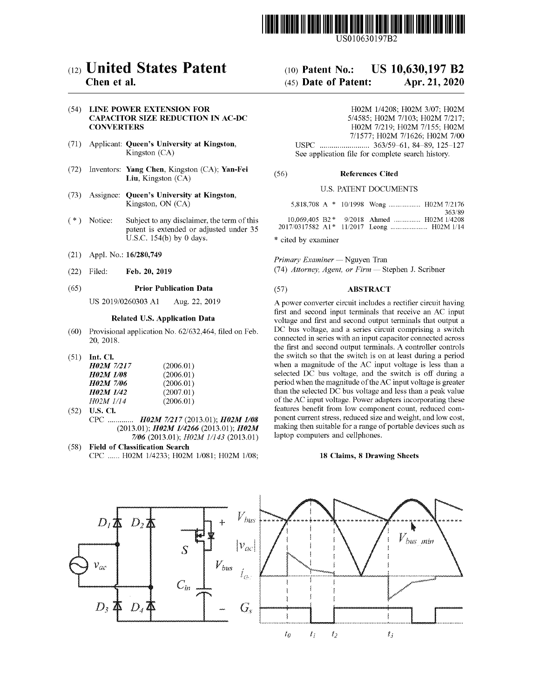

US010630197B2

## (54) LINE POWER EXTENSION FOR **CAPACITOR SIZE REDUCTION IN AC-DC CONVERTERS**

- USPC 363 / 59–61 , 84–89 , 125–127 See application file for complete search history . ( 71 ) Applicant : Queen's University at Kingston , Kingston ( CA )
- (72) Inventors: Yang Chen, Kingston (CA); Yan-Fei rang Chen, Kingston (CA), Fan-Fer $(56)$  References Cited Liu, Kingston (CA)
- (73) Assignee: Queen's University at Kingston, <br>
Kingston, ON (CA) 5,818,708 A \* 10/1998 Wong ................
- HO2M 1/14 ( \* ) Notice : Subject to any disclaimer , the term of this patent is extended or adjusted under 35 U.S.C.  $154(b)$  by 0 days.
- 
- 

## ( 65 ) Prior Publication Data ( 57 ) ABSTRACT

US 2019/0260303 A1 Aug. 22, 2019

### Related U.S. Application Data

- $(60)$  Provisional application No.  $62/632,464$ , filed on Feb. 20, 2018.
- 

| 21) | Int. Cl.         |           |
|-----|------------------|-----------|
|     | H02M 7/217       | (2006.01) |
|     | <b>H02M 1/08</b> | (2006.01) |
|     | H02M 7/06        | (2006.01) |
|     | H02M 1/42        | (2007.01) |
|     | H02M 1/14        | (2006.01) |
|     |                  |           |

- (52) U.S. Cl.<br>CPC .............. H02M 7/217 (2013.01); H02M 1/08 (2013.01);  $H02M$  1/4266 (2013.01);  $H02M$ 7/06 (2013.01); H02M 1/143 (2013.01)
- (58) Field of Classification Search CPC ...... H02M 1/4233; H02M 1/081; H02M 1/08;

# (12) United States Patent (10) Patent No.: US 10,630,197 B2<br>Chen et al. (45) Date of Patent: Apr. 21, 2020  $(45)$  Date of Patent:

H02M 1/4208; H02M 3/07; H02M 5/4585; H02M 7/103; H02M 7/217; H02M 7/219; H02M 7/155; H02M 7/1577 ; HO2M 7/1626 ; HO2M 7/00

|  | 5,818,708 A $*$ 10/1998 Wong  H02M 7/2176 |        |
|--|-------------------------------------------|--------|
|  |                                           | 363/89 |
|  | 10,069,405 B2 * 9/2018 Ahmed  H02M 1/4208 |        |
|  |                                           |        |

\* cited by examiner

(21) Appl. No.:  $16/280,749$  Primary Examiner — Nguyen Tran (22) Filed: Feb. 20, 2019 (74) Attorney, Agent, or Firm - Stephen J. Scribner

A power converter circuit includes a rectifier circuit having first and second input terminals that receive an AC input voltage and first and second output terminals that output a DC bus voltage, and a series circuit comprising a switch connected in series with an input capacitor connected across the first and second output terminals. A controller controls the switch so that the switch is on at least during a period when a magnitude of the AC input voltage is less than a selected DC bus voltage, and the switch is off during a period when the magnitude of the AC input voltage is greater<br>than the selected DC bus voltage and less than a peak value<br>of the AC input voltage. Power adapters incorporating these features benefit from low component count, reduced component current stress, reduced size and weight, and low cost, making then suitable for a range of portable devices such as laptop computers and cellphones.

### 18 Claims, 8 Drawing Sheets

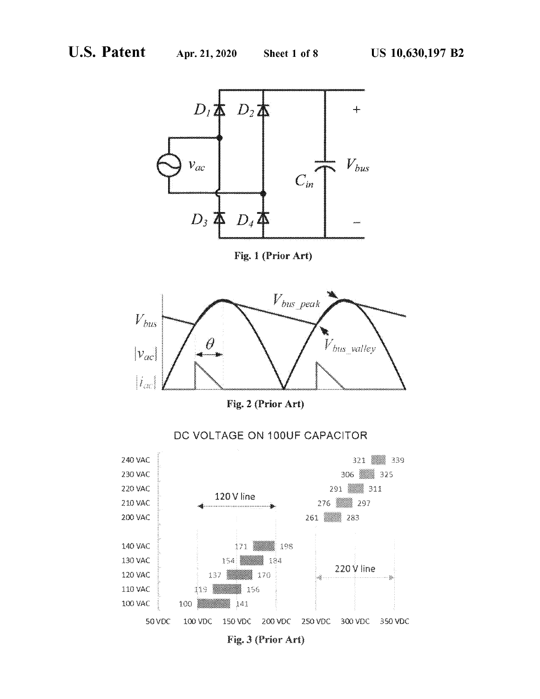

Fig. 1 (Prior Art)



Fig. 2 (Prior Art)

# DC VOLTAGE ON 100UF CAPACITOR

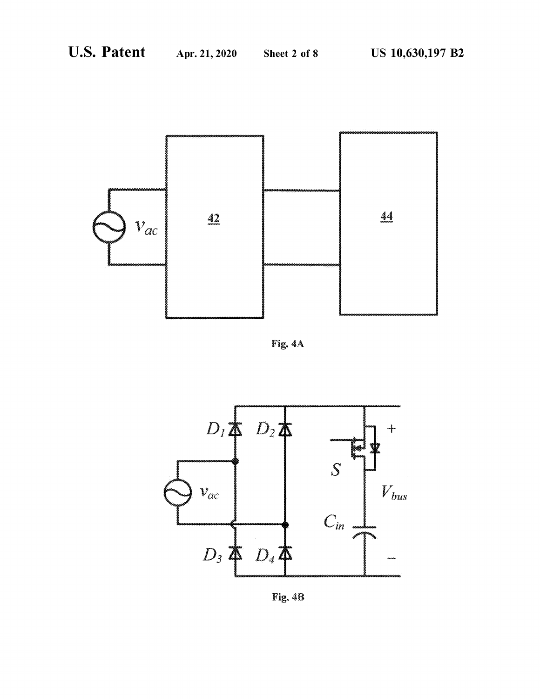

Fig. 4A



Fig. 4B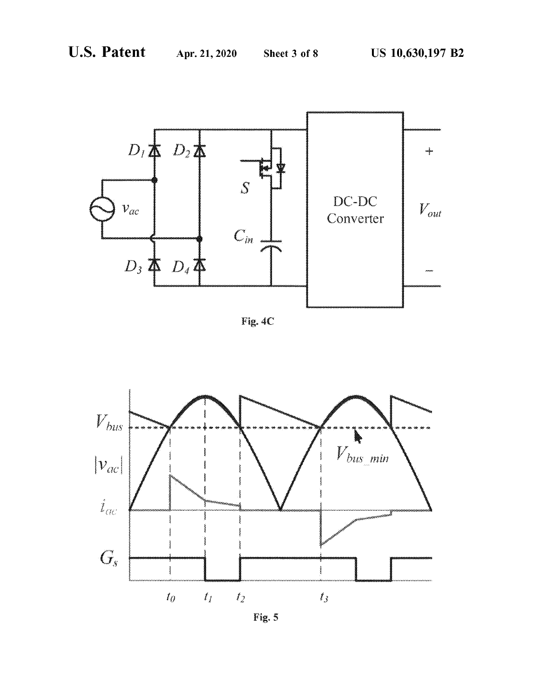





Fig. 5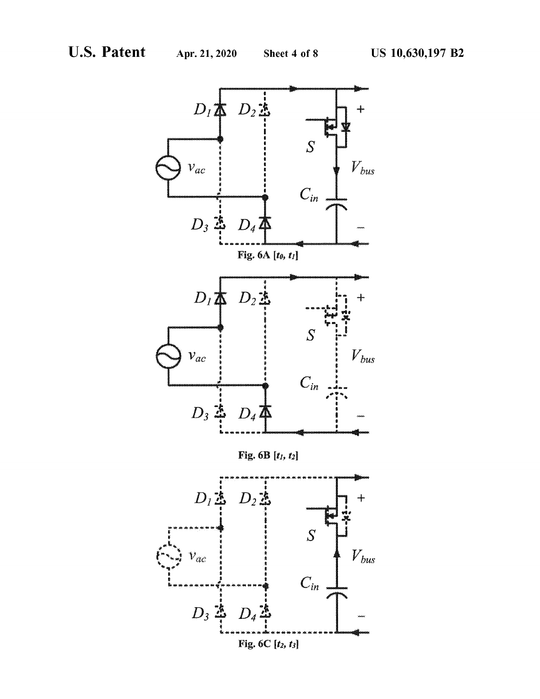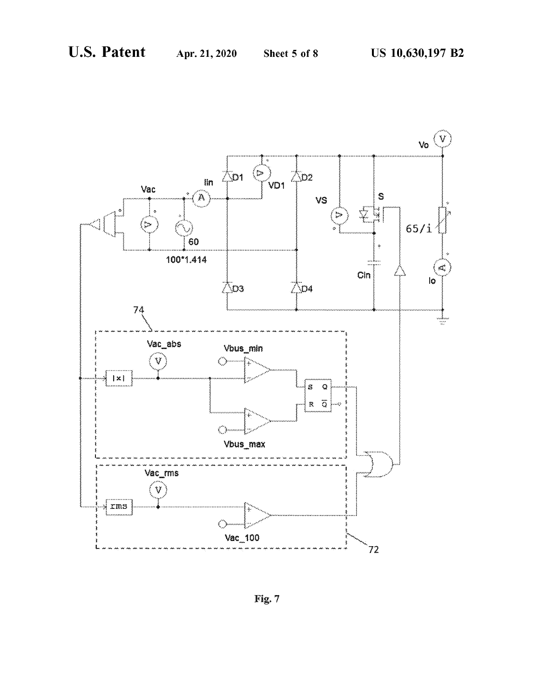

Fig. 7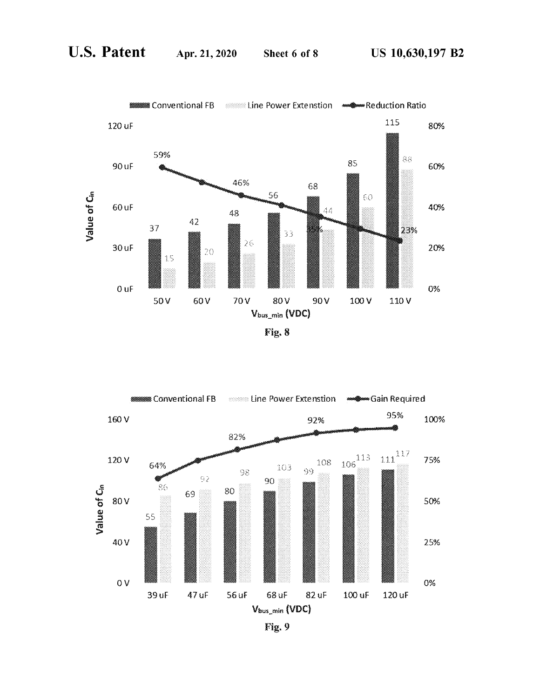

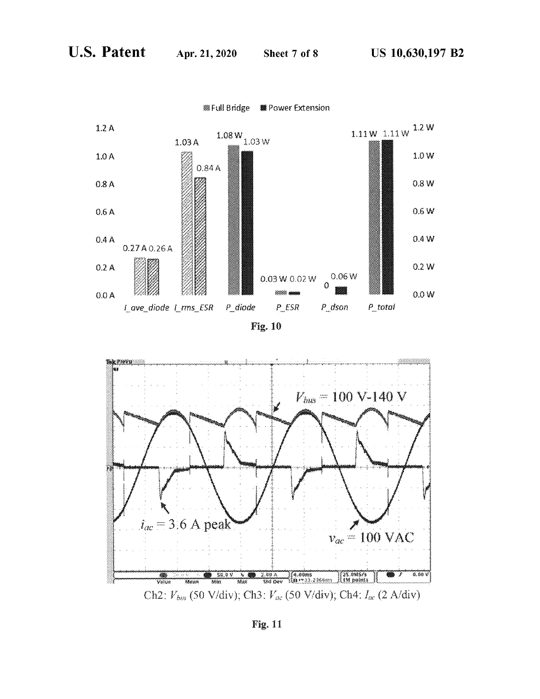



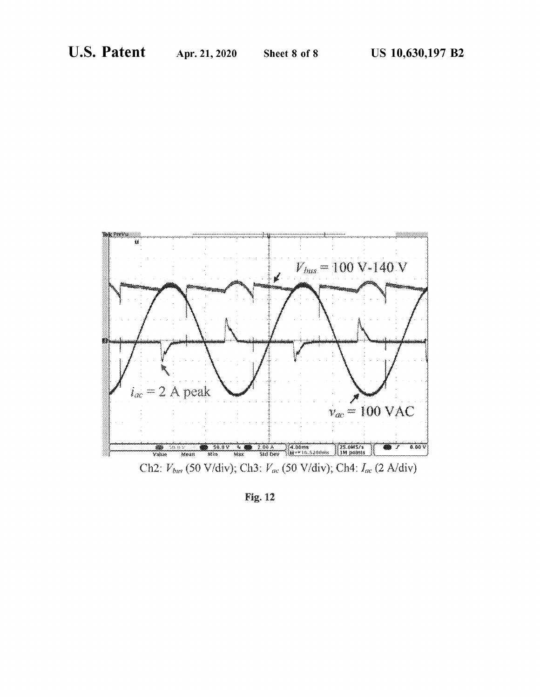

**Fig. 12**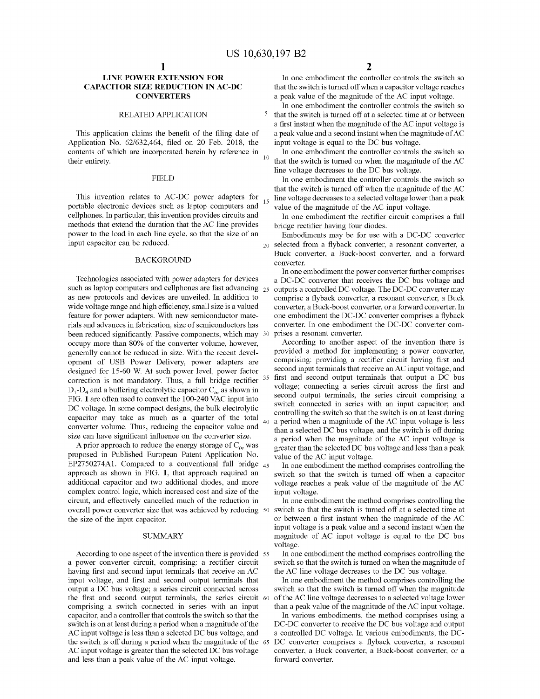5

# **LINE POWER EXTENSION FOR CAPACITOR SIZE REDUCTION IN AC-DC CONVERTERS**

# **RELATED APPLICATION**

This application claims the benefit of the filing date of Application No. 62/632,464, filed on 20 Feb. 2018, the contents of which are incorporated herein by reference in their entirety.

### **FIELD**

This invention relates to AC-DC power adapters for portable electronic devices such as laptop computers and cellphones. In particular, this invention provides circuits and methods that extend the duration that the AC line provides power to the load in each line cycle, so that the size of an input capacitor can be reduced.

#### **BACKGROUND**

Technologies associated with power adapters for devices such as laptop computers and cellphones are fast advancing  $_{25}$ as new protocols and devices are unveiled. In addition to wide voltage range and high efficiency, small size is a valued feature for power adapters. With new semiconductor materials and advances in fabrication, size of semiconductors has been reduced significantly. Passive components, which may 30 occupy more than 80% of the converter volume, however, generally cannot be reduced in size. With the recent development of USB Power Delivery, power adapters are designed for 15-60 W. At such power level, power factor correction is not mandatory. Thus, a full bridge rectifier  $D_1$ - $D_4$  and a buffering electrolytic capacitor  $C_{in}$  as shown in FIG. 1 are often used to convert the 100-240 VAC input into DC voltage. In some compact designs, the bulk electrolytic capacitor may take as much as a quarter of the total converter volume. Thus, reducing the capacitor value and size can have significant influence on the converter size.

A prior approach to reduce the energy storage of  $C_{in}$  was proposed in Published European Patent Application No. EP2750274A1. Compared to a conventional full bridge  $_{45}$ approach as shown in FIG. 1, that approach required an additional capacitor and two additional diodes, and more complex control logic, which increased cost and size of the circuit, and effectively cancelled much of the reduction in overall power converter size that was achieved by reducing 50 the size of the input capacitor.

#### **SUMMARY**

According to one aspect of the invention there is provided 55 a power converter circuit, comprising: a rectifier circuit having first and second input terminals that receive an AC input voltage, and first and second output terminals that output a DC bus voltage; a series circuit connected across the first and second output terminals, the series circuit 60 comprising a switch connected in series with an input capacitor, and a controller that controls the switch so that the switch is on at least during a period when a magnitude of the AC input voltage is less than a selected DC bus voltage, and the switch is off during a period when the magnitude of the 65 AC input voltage is greater than the selected DC bus voltage and less than a peak value of the AC input voltage.

In one embodiment the controller controls the switch so that the switch is turned off when a capacitor voltage reaches a peak value of the magnitude of the AC input voltage.

In one embodiment the controller controls the switch so that the switch is turned off at a selected time at or between a first instant when the magnitude of the AC input voltage is a peak value and a second instant when the magnitude of AC input voltage is equal to the DC bus voltage.

In one embodiment the controller controls the switch so that the switch is turned on when the magnitude of the AC line voltage decreases to the DC bus voltage.

In one embodiment the controller controls the switch so that the switch is turned off when the magnitude of the AC line voltage decreases to a selected voltage lower than a peak value of the magnitude of the AC input voltage.

In one embodiment the rectifier circuit comprises a full bridge rectifier having four diodes.

Embodiments may be for use with a DC-DC converter 20 selected from a flyback converter, a resonant converter, a Buck converter, a Buck-boost converter, and a forward converter.

In one embodiment the power converter further comprises a DC-DC converter that receives the DC bus voltage and outputs a controlled DC voltage. The DC-DC converter may comprise a flyback converter, a resonant converter, a Buck converter, a Buck-boost converter, or a forward converter. In one embodiment the DC-DC converter comprises a flyback converter. In one embodiment the DC-DC converter comprises a resonant converter.

According to another aspect of the invention there is provided a method for implementing a power converter, comprising: providing a rectifier circuit having first and second input terminals that receive an AC input voltage, and first and second output terminals that output a DC bus voltage; connecting a series circuit across the first and second output terminals, the series circuit comprising a switch connected in series with an input capacitor; and controlling the switch so that the switch is on at least during 40 a period when a magnitude of the AC input voltage is less than a selected DC bus voltage, and the switch is off during a period when the magnitude of the AC input voltage is greater than the selected DC bus voltage and less than a peak value of the AC input voltage.

In one embodiment the method comprises controlling the switch so that the switch is turned off when a capacitor voltage reaches a peak value of the magnitude of the AC input voltage.

In one embodiment the method comprises controlling the switch so that the switch is turned off at a selected time at or between a first instant when the magnitude of the AC input voltage is a peak value and a second instant when the magnitude of AC input voltage is equal to the DC bus voltage.

In one embodiment the method comprises controlling the switch so that the switch is turned on when the magnitude of the AC line voltage decreases to the DC bus voltage.

In one embodiment the method comprises controlling the switch so that the switch is turned off when the magnitude of the AC line voltage decreases to a selected voltage lower than a peak value of the magnitude of the AC input voltage.

In various embodiments, the method comprises using a DC-DC converter to receive the DC bus voltage and output a controlled DC voltage. In various embodiments, the DC-DC converter comprises a flyback converter, a resonant converter, a Buck converter, a Buck-boost converter, or a forward converter.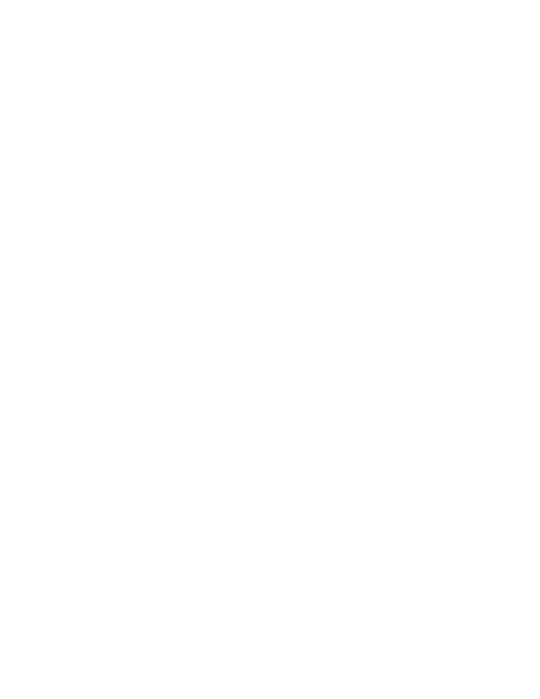$45$ 

## BRIEF DESCRIPTION OF THE DRAWINGS

For a greater understanding of the invention, and to show more clearly how it may be carried into effect, embodiments will be described, by way of example, with reference to the 5 accompanying drawings, wherein:

FIG. 1 is a schematic diagram of a conventional full bridge rectifier circuit without power factor correction, according to the prior art.

FIG. 2 is a diagram showing the full bridge rectifier 10 conduction waveform for the circuit of FIG. 1.

FIG. 3 is a plot showing DC voltage on  $C_{in}$ =100  $\rho$ F for different AC input voltages (VAC rms) and 60 W load power, for the circuit of FIG. 1.

FIG. 4A is a diagram showing a power adapter connected to 15 a portable electronic device, according to one embodiment.

FIG. 4B is a diagram showing a line power extension circuit, according to one embodiment.

FIG. 4C is a diagram showing a line power extension circuit with a subsequent DC-DC converter stage, according 20 to one embodiment.

FIG. 5 is a diagram showing key waveforms for the circuit of FIG. 4B.

FIGS. 6A-6C are schematic diagrams showing operation of the circuit of FIG. 4B during three time intervals, wherein 25 dashed lines show parts of the circuit that are not in operation during each interval.

FIG. 7 is a circuit diagram showing a controller implemented for a line power extension circuit, according to one embodiment.

FIG. 8 shows the results of a simulation comparing the value of  $C_{in}$  required for different  $V_{bus\_min}$  voltages, for a conventional full bridge and a line power extension circuit according to one embodiment.

FIG. 9 shows the results of a simulation comparing 35  $V_{bus\_min}$  at different values of  $C_{in}$ , and the gain required for a subsequent converter stage, for a conventional full bridge and a line power extension circuit according to one embodiment.

FIG. 10 shows the results of a simulation comparing  $40$ current and loss of a conventional full bridge rectifier and a line power extension embodiment.

FIGS. 11 and 12 show performance of a prototype line power extension circuit operating at 60 W and 30 W loads, respectively.

### DETAILED DESCRIPTION OF EMBODIMENTS

According to one aspect, the invention provides methods and circuits for reducing the value and size of an input 50 electrolytic capacitor  $C_{in}$  of an AC-DC converter, by extending the duration that the AC line provides power to the load in each line cycle. According to embodiments, which may be referred to herein as line power extension circuits, the input capacitor energy is used only when the AC voltage is below  $55$  line frequency. The conduction angle  $\theta$  is given in equation a selected level. Capacitor discharging is controlled by an auxiliary switch, while capacitor charging is not changed relative to a conventional circuit. As described herein, line power extension circuits and methods may reduce the input capacitor value and size significantly, relative to conven-60 tional circuits, e.g., a reduction of 33% in an embodiment operating at 60 W output power. Alternatively, when a capacitor value according to a conventional design is used, the DC bus voltage range and the current stress may be reduced, from which the design of a following stage (e.g., a 65) DC-DC converter) may benefit. Embodiments are described in detail below with respect to a full bridge rectifier that

4

converts an AC voltage to a DC voltage (e.g., FIG. 4B). The output of the rectifier is a DC voltage with voltage ripple dependent on the capacitor value and the output power. A subsequent DC-DC converter stage may be used to convert the DC voltage into a controlled DC voltage level (e.g., FIG. 4C). For example, a flyback converter, a resonant converter, a forward converter, a Buck converter, a Buck-boost converter, etc., may be used as the DC-DC converter. Advantageously, in the embodiments  $C_{in}$  functions as both an output capacitor of the line power extension circuit and as an input capacitor of a subsequent DC-DC converter stage. Thus, the need for an additional input capacitor for the subsequent stage is avoided, which reduces size and cost of the AC-DC converter. Further, in the embodiments  $C_{in}$  is not connected directly across the input terminals of the subsequent DC-DC converter stage, and no further capacitors are connected in parallel, thereby avoiding any possible current spike when the auxiliary switch is activated and the need for a current limiting inductor. In implementations such as that shown in FIG. 4A, it will be appreciated that a power adapter 42 incorporating an embodiment as described herein benefits from low component count, reduced component current stress, reduced size and weight, and low cost, making them suitable for a range of portable devices 44 such as laptop

Capacitor Buffering A conventional full bridge rectifier circuit without power factor correction is shown in FIG. 1, and FIG. 2 shows the voltage and current waveforms. In FIG. 2,  $|v_{ac}|$  is the absolute value of the AC line voltage,  $V_{bus}$  is the voltage on the input capacitor  $C_{in}$ , i<sub>ac</sub> is the input current from the AC line, and  $\theta$  is the conduction angle.  $V_{bus\ peak}$  refers to the peak value of a specific AC voltage.  $\frac{1}{100}$   $\frac{1}{100}$   $\frac{1}{100}$   $\frac{1}{100}$   $\frac{1}{100}$   $\frac{1}{100}$   $\frac{1}{100}$   $\frac{1}{100}$   $\frac{1}{100}$   $\frac{1}{100}$   $\frac{1}{100}$   $\frac{1}{100}$   $\frac{1}{100}$   $\frac{1}{100}$   $\frac{1}{100}$   $\frac{1}{100}$   $\frac{1}{100}$   $\frac{1}{100}$   $\frac{1$ voltages covering the range of 100-240 VAC, in other words,  $V_{bus\_max}$  is one fixed value of 240 V\*1.414=340 V. The same applies to  $V_{bus\_valley}$  and  $V_{bus\_min}$  (see FIG. 5). As an example,  $V_{bus}$  is the bus voltage for a following DC-DC converter stage.

computers and cellphones.

When  $V_{bus}$  is lower than the line voltage, the capacitor will be charged until it equals the peak line voltage. After that,  $C_{in}$  will be discharged to power the load until its voltage is lower than the line voltage in the next half line cycle.

At a given AC voltage, the relationship between  $V_{bus\_peak}$ and  $V_{bus\_valley}$  is determined by (1), in which  $P_o$  is the output power and  $\Delta t$  is the discharging time of  $C_{in}$ .

$$
\frac{1}{2}C_{in}(V_{bus\_valley}^2-V_{bus\_peak}^2)=P_o\cdot \Delta t \eqno{(1)}
$$

 $\Delta t$  may be found using equation (2), in which  $f_{line}$  is the AC  $(3)$ 

$$
\Delta t = \frac{\pi - \theta}{2\pi f_{line}} \tag{2}
$$

$$
\theta = \cos^{-1}\left(\frac{V_{bus\_valley}}{V_{bus\_peak}}\right) \tag{3}
$$

If the capacitor value is large enough so that the voltage drop (i.e.,  $V_{bus\_peak} - V_{bus\_valley}$ ) can be neglected, then the capacitor discharging time is approximately  $\frac{1}{2}f_{line}$ . Based on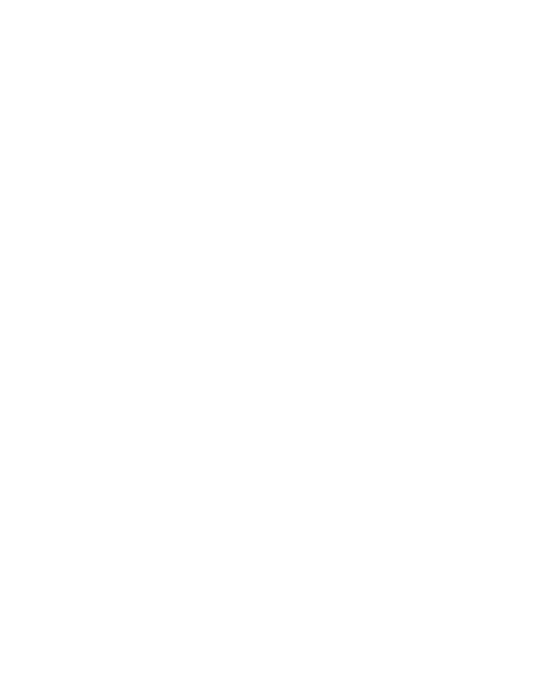5

25

this assumption, the DC voltage range on  $C_{in}$  at different AC voltages may be calculated. For example, FIG. 3 shows the DC voltages on a 100  $\rho$ F capacitor for 60 W power at different AC voltages from 100-240 VAC. As one example, when the input voltage VAC is about 100 Vrms, the DC voltage across the 100 uF capacitor will vary from about 100 to 141 VDC. When the input voltage VAC is 200 Vrms, the DC voltage across the 100 uF capacitor will vary from about 261 to 283 VDC.

As shown in FIG. 3, for universal AC input from 100-240 10 VAC, the maximum  $C_{in}$  voltage  $V_{bus\_max}$  is about 340 V, which is the peak voltage at 240 VAC (i.e., 240 V×1.414=339.34 V). On the other hand, the minimum  $C_{in}$ voltage  $V_{bus\_min}$  is determined by the valley voltage point at 100 VAC. For a given power level,  $V_{bus\_min}$  varies for 15 different  $C_{in}$  values. In this case, with 60 W load and  $C_{in}$ , 100 µF,  $V_{bus\_min}$  is 100 VDC, at which the converter has maximum current stresses.

For 100 VAC, if the minimum DC voltage  $V_{bus\_min}$  is chosen as 100 V, the conduction angle  $\theta$  (as shown in FIG. 20 2) is only  $45^{\circ}$  in a half line cycle (i.e., 25% of the cycle period). The input capacitor provides the power for the remaining 135° of the half line cycle (i.e., 75% of the cycle period). Accordingly, the input capacitor must be of a large value, which translates to a large physical size.

According to one aspect of the invention, drawbacks of the conventional full bridge approach described above are overcome by extending the time that the AC line voltage is used to power the load. When the AC line provides more power to the load, the input capacitor does not need to store 30 as much energy as in the conventional full bridge case. As a result, the capacitor value can be reduced while achieving same bus voltage range.

Referring to the conventional circuit of FIG. 2, it is noted that the AC line provides power only before the peak 35 voltage, even though after that the line voltage is still higher than the  $V_{bus\_min}$ . However, according to embodiments of the invention, the interval after the peak point (i.e., after  $V_{bus\_peak}$ ) until  $V_{bus\_min}$  is also used, increasing the conduction angle  $\theta$ . A controller controls the extent to which the 40 conduction angle is increased. In some embodiments,  $\theta$  is doubled, relative to the conventional case. Effectively, the capacitor discharging time is reduced. Thus, the required capacitor value can be reduced to achieve the same  $V_{bus\_min}$ . Alternatively, with the same capacitor value as in a conven-45 tional design,  $V_{bus\_min}$  can be increased. In applications where a subsequent DC-DC converter stage is used, the voltage gain requirement for the DC-DC stage is reduced, which also reduces the current stress. These features translate into an efficiency improvement or an overall reduction 50 in size of the converter.

FIG. 4B shows an embodiment, referred to herein as a line power extension circuit, including a full bridge rectifier circuit rectifier  $D_1$ - $D_4$  and switch S connected in series with capacitor  $C_{in}$ , S is connected in such a way that the current 55 through the body diode will charge the capacitor  $C_{in}$ . Thus, regardless of the state of S,  $C_{in}$  is always charging when the line voltage is higher than the capacitor voltage.  $C_{in}$  is discharged only when S is turned on.

FIG. 5 shows key waveforms of the embodiment of FIG. 60 4B. In FIG. 5,  $V_{bus}$ , is the output voltage of the line power extension circuit, as well as the input voltage for a subsequent stage (e.g., a DC-DC converter stage).  $|v_{ac}|$  is the absolute value of the AC input,  $i_{ac}$  is the AC input current, and  $G_s$  is the gate signal of the switch S. FIGS.  $6A-6C$  show 65 three states A, B, and C of operation of the embodiment during the positive half line cycle, wherein dashed lines

6

show parts of the circuit that are not in operation. Operation during the negative half cycle is similar to that shown in FIGS. 6A-6C.

State A  $[t_0, t_1]$ : D<sub>1</sub> and D<sub>4</sub> start to conduct at  $t_0$ , at which time  $v_{ac}$  equals  $V_{bus}$ . From  $t_0$  to  $t_1$ , the capacitor voltage increases with  $v_{ac}$ . During this time, S is turned on, in order to reduce conduction loss. In an ideal case, S is turned off at  $t<sub>1</sub>$ , at which time the capacitor voltage reaches the peak value. However, in practice, S may be turned off at a selected time between  $t_0$  and  $t_1$  to achieve optimal performance. The capacitor continues to be charged through the body diode of S to the peak line voltage.

State B  $[t_1, t_2]$ : At  $t_1$ , the input AC voltage reaches peak value and the capacitor  $C_{in}$  is also charged to peak value. After  $t_1$ , the AC voltage will be lower than the peak value. As S turns off at  $t_1$ , the capacitor is disconnected from the load, thus the capacitor voltage remains as the peak line voltage. The load is powered by the AC line directly during  $t_1$  to  $t_2$ , and the AC current is the AC voltage divided by the load resistance. Due to this extended conduction time,  $i_{ac}$  is lower than the conventional full bridge. During  $t_1$  to  $t_2$ , the body diode of S is reverse-biased. The peak voltage stress on S is reached at  $t_2$ , and is equal to  $V_{bus\_max} - V_{bus\_min}$ . Generally, in embodiments operating with input voltage of 100-240 VAC, the voltage stress is below 100 V. It is noted that the switch S is operated (i.e., turn-on and turn-off) when the input AC voltage is low. The voltage stress on S is the difference between the peak AC voltage (e.g., 141 V for 100 Vrms AC input) and the  $V_{bus\_min}$  (e.g., 100 V). In this example, the voltage stress is 41 V (141-100 V). When the input AC voltage is high, the switch S is always turned on. Therefore, a switch such as a MOSFET with voltage rating of 100 V may be used for S.

State C  $[t_2, t_3]$ : After  $t_2, v_{ac}$  reduces below the designed  $V_{bus\_min}$ . S is turned on at  $t_2$ , so that the capacitor energy is used. As the capacitor voltage is maintained at the peak line voltage,  $D_1$  and  $D_4$  will be reverse-biased after  $t_2$ . The capacitor voltage will decrease until it is equal to  $v_{ac}$ . In this case, the capacitor value is selected such that the minimum capacitor voltage at  $t_3$  is equal to the line voltage at  $t_2$ , both at $\mathbf{\tilde{V}}_{bus\_min}$ 

# Controller

An embodiment including a controller is shown in FIG. 7. In this embodiment the controller includes a circuit 72 used to determine the operation mode of the control circuit, *i.e.*, whether line power extension is needed *(i.e., activated, the* switch is off). Line power extension control is activated when the magnitude of the AC voltage is low, i.e., below  $V_{bus\_min}$ ; for example, 100 VAC. For normal operation at, e.g., 120 VAC, the bus voltage should always be higher than the designed  $V_{bus\_min}$ . Thus, there is no need to activate line power extension and the switch remains on, and the circuit operates substantially equivalent to a conventional full bridge rectifier.

The controller also includes a circuit 74 used to determine on/off timing of the switch S. In an ideal case, S should be turned off at the line voltage peak (i.e.,  $V_{bus\_peak}$ ) after which the line will power the load directly. The turn-on timing of S is when the magnitude of the line voltage decreases to a designed  $\mathbf{V}_{bus\_min}.$ 

#### Performance Comparison

A simulation was conducted using PSIM (Powersim Inc., Rockville, Md., USA) to determine the required capacitance value of  $C_{in}$  for a line power extension embodiment and a conventional full bridge, for designs based on different  $V_{bus,min}$  and a 60 W load. FIG. 8 shows simulation results.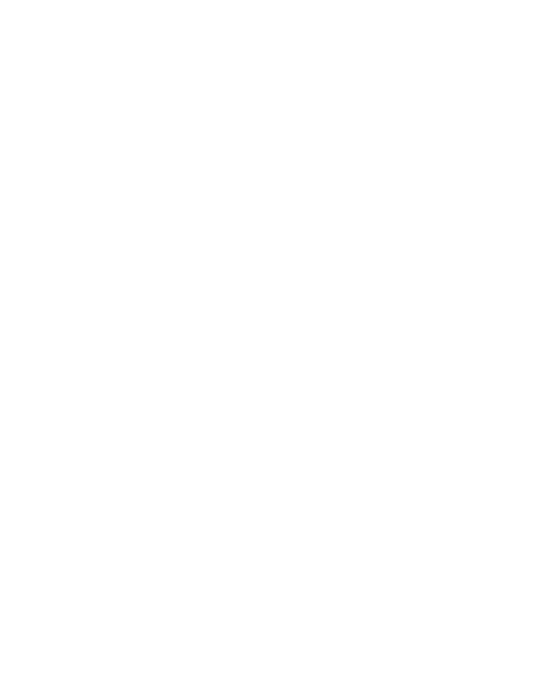As shown in FIG. 8, when  $V_{bus\_min}$  is set at 50 V, then a 37  $\mu$ F capacitance should be used for a conventional full bridge diode rectifier, while only 15 uF is needed for a line power extension embodiment. Thus, a 59% capacitor reduction is achieved for a 50 V design. The capacitor reduction  $\frac{5}{2}$ ratio, shown by the solid line in FIG. 8, decreases as  $V_{bus,min}$ increases, as the AC power conduction angle is reduced. In practice, a typical  $V_{bus\_min}$  design is 90-100 V, at which the capacitance can be reduced by about 33% with line power extension as described herein, relative to a conventional full 10 bridge diode rectifier.

When a line power extension embodiment is implemented with the same capacitance as a conventional full bridge diode rectifier, then  $V_{bus\_min}$  can be increased to relieve the wide voltage gain requirement for a following DC-DC 15 converter stage. FIG. 9 shows the results of a simulation comparing the minimum bus voltage between a conventional full bridge circuit and a line power extension circuit for different  $C_{in}$  values. As shown in FIG. 9, in an extreme case where a 39  $\mu$ F capacitor used, then  $V_{bus\_min}$  for the full 20 bridge is only 55 V, while that for the line power extension circuit is 86 V. When  $V_{bus\_max}$  is 340 V, the normalized voltage gain requirement is reduced from 6.2 to 4 (i.e., 340 V/55 V=6.2; 340 V/86 V=4). That is, the voltage gain requirement for a subsequent DC-DC converter is reduced to 25 only  $64\%$  ( $4/6.2=64\%$ ) of that in the conventional full bridge. As shown in FIG. 9, as the value of  $C_{in}$  increases, the difference in  $V_{bus\_min}$  decreases (due to the conduction angle decreasing), thus the line power extension circuit produces less reduction in the required voltage gain. 30

In a practical case, if an  $82 \mu$ F capacitor is used, then  $V_{bus\_min}$  can be increased from 99 V in a conventional full bridge to 108 V with the line power extension circuit, which is an ~10% improvement. For a following DC-DC converter, e.g., a series resonant converter, this  $10\%$  voltage improve- 35 ment indicates the same amount of current stress reduction. Then, the conduction loss can be reduced to only  $\sim 80\%$  $(=0.9<sup>2</sup>)$  of that in the conventional full bridge case.

Besides a significant current reduction for the following DC-DC converter, current stress in the input rectifiers is also 40 reduced with a line power extension circuit as described herein. FIG. 10 shows the results of a simulation comparing current stress and loss of a conventional full bridge rectifier and a line power extension circuit. In FIG. 10, I\_ave\_diode: average current in diodes D1-D4; I\_rms\_ESR: RMS current 45 in  $C_{in}$ ; P\_diode: power loss diodes D1-D4; P\_ESR: power loss in  $C_{in}$ ; P\_dson: conduction loss in switch S; P\_total: total power loss. In this example the diode loss was calculated based on 0.95 V forward voltage drop for a bridge rectifier (e.g., Micro Commercial Components, Part No. 50 LB6S), while the MOSFET conduction loss P\_dson d n was calculated based on  $R_{dson}$  of 85 mOhms (e.g., STMicroelectronics, Part No. STF43N60DM2). It can be observed that the diode bridge has significantly higher loss as compared to the additional switch. The extra loss created by the addi- 55 tional switch can be compensated by the reduced current stress in the diode bridge, so that the total loss P\_total in the conventional circuit and the line power extension circuit are same in this example. However, if the losses in the EMI filter are also considered, then the line power extension circuit 60 reduces the total loss.

### **WORKING EXAMPLE**

A 60 W prototype was built according to the circuit of 65 FIG. 4B and the parameters shown in Table 1. For  $C_{in}$ , a total of 60  $\mu$ F (56  $\mu$ F electrolytic+4.7  $\mu$ F ceramic) capacitance is

needed to maintain  $V_{but\_min}$  at 100 VDC for 100 VAC. As a comparison, 85  $\mu$ F (82  $\mu$ F electrolytic+3.3  $\mu$ F eeramic) should be used to achieve same input voltage range.

**TABLE 1** 

| Design parameters.           |                                                   |  |  |  |
|------------------------------|---------------------------------------------------|--|--|--|
| Input AC voltage             | 100-240 VAC                                       |  |  |  |
| Operation of Line Power      | 100 VAC                                           |  |  |  |
| Extension                    |                                                   |  |  |  |
| Operation as Full Bridge     | 110-240 VAC                                       |  |  |  |
| Output Power                 | 60 W                                              |  |  |  |
| Input Capacitor C.           | 56 $\mu$ F (electrolytic) + 4.7 $\mu$ F (ceramic) |  |  |  |
| Minimum Bus                  | 100 VDC                                           |  |  |  |
| Voltage V <sub>bus_min</sub> |                                                   |  |  |  |
| <b>Auxiliary MOSFET</b>      | $R_{dom}$ = 85 mOhms e.g., STMicroelectronics,    |  |  |  |
|                              | Part No. STF43N60DM2)                             |  |  |  |
| Diode Bridges                | Forward voltage drop = $0.95$ V (e.g., Micro      |  |  |  |
|                              | Commercial Components, Part No. LB6S)             |  |  |  |
| Controller                   | dsPIC33FJ06GS101A (e.g., Microchip                |  |  |  |
|                              | Technology Inc.)                                  |  |  |  |
| Auxiliary MOSFET Driver      | PC817 (e.g., Sharp/Socle Technology)              |  |  |  |

The sizes of 56 F and 82  $\mu$ F electrolytic capacitors (Rubycon BXW series) were compared. Both capacitors had the same diameter of 16 mm. The length of the 56  $\mu$ F capacitor was 21 mm, while that of the 82 µF capacitor was 31 mm. Thus, a  $30\%$  (1-21/31=30%) capacitor size reduction was achieved with the line power extension circuit.

FIG. 11 shows key waveforms under 100 VAC input and 60 W load power. The minimum value of  $V_{bus}$  is controlled at 100 V. For a 60 W load, the peak AC current stress is 3.6  $\mathbf{A}$ .

FIG. 12 shows key waveforms under 100 VAC input and 30 W load power. At this power level the minimum value of  $V_{bus}$  is controlled at 100 V. It can be seen from the waveform of  $V_{bus}$  that with a 30 W load, the voltage variation across  $C_{in}$  is smaller than with a 60 W load (FIG. 11).

# **EQUIVALENTS**

While the invention has been described with respect to illustrative embodiments thereof, it will be understood that various changes may be made to the embodiments without departing from the scope of the invention. Accordingly, the described embodiments are to be considered merely exemplary and the invention is not to be limited thereby.

The invention claimed is:

1. A power converter circuit, comprising:

- a rectifier circuit having first and second input terminals that receive an AC input voltage, and first and second output terminals that output a DC bus voltage;
- a series circuit connected across the first and second output terminals, the series circuit consisting of a switch and a capacitor, wherein a switch source terminal is connected to the first output terminal, a switch drain terminal is connected to a first terminal of the capacitor, and a second terminal of the capacitor is connected to the second output terminal;
- a controller that controls the switch so that the switch is turned on at an instant when a magnitude of the AC input voltage decreases to a selected DC bus voltage, and the switch is off during a period when the magnitude of the AC input voltage is greater than the selected DC bus voltage and less than a peak value of the AC input voltage;